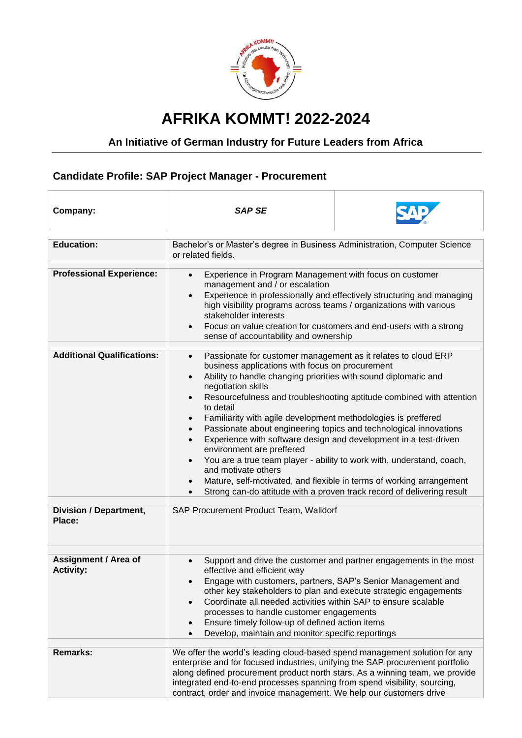

## **AFRIKA KOMMT! 2022-2024**

## **An Initiative of German Industry for Future Leaders from Africa**

## **Candidate Profile: SAP Project Manager - Procurement**

| Company:                                                                     | <b>SAP SE</b>                                                                                                                                                                                                                                                                                                                                                                                                                                                                                                                                                                                                                                                                                                                                                                                                                                                            |                                                                    |
|------------------------------------------------------------------------------|--------------------------------------------------------------------------------------------------------------------------------------------------------------------------------------------------------------------------------------------------------------------------------------------------------------------------------------------------------------------------------------------------------------------------------------------------------------------------------------------------------------------------------------------------------------------------------------------------------------------------------------------------------------------------------------------------------------------------------------------------------------------------------------------------------------------------------------------------------------------------|--------------------------------------------------------------------|
| <b>Education:</b>                                                            | Bachelor's or Master's degree in Business Administration, Computer Science<br>or related fields.                                                                                                                                                                                                                                                                                                                                                                                                                                                                                                                                                                                                                                                                                                                                                                         |                                                                    |
| <b>Professional Experience:</b>                                              | Experience in Program Management with focus on customer<br>$\bullet$<br>management and / or escalation<br>Experience in professionally and effectively structuring and managing<br>$\bullet$<br>high visibility programs across teams / organizations with various<br>stakeholder interests<br>Focus on value creation for customers and end-users with a strong<br>$\bullet$<br>sense of accountability and ownership                                                                                                                                                                                                                                                                                                                                                                                                                                                   |                                                                    |
| <b>Additional Qualifications:</b><br><b>Division / Department,</b><br>Place: | Passionate for customer management as it relates to cloud ERP<br>$\bullet$<br>business applications with focus on procurement<br>Ability to handle changing priorities with sound diplomatic and<br>$\bullet$<br>negotiation skills<br>Resourcefulness and troubleshooting aptitude combined with attention<br>to detail<br>Familiarity with agile development methodologies is preffered<br>Passionate about engineering topics and technological innovations<br>Experience with software design and development in a test-driven<br>environment are preffered<br>You are a true team player - ability to work with, understand, coach,<br>and motivate others<br>Mature, self-motivated, and flexible in terms of working arrangement<br>Strong can-do attitude with a proven track record of delivering result<br>$\bullet$<br>SAP Procurement Product Team, Walldorf |                                                                    |
| <b>Assignment / Area of</b><br><b>Activity:</b>                              | $\bullet$<br>effective and efficient way<br>Engage with customers, partners, SAP's Senior Management and<br>other key stakeholders to plan and execute strategic engagements<br>Coordinate all needed activities within SAP to ensure scalable<br>processes to handle customer engagements<br>Ensure timely follow-up of defined action items<br>Develop, maintain and monitor specific reportings                                                                                                                                                                                                                                                                                                                                                                                                                                                                       | Support and drive the customer and partner engagements in the most |
| <b>Remarks:</b>                                                              | We offer the world's leading cloud-based spend management solution for any<br>enterprise and for focused industries, unifying the SAP procurement portfolio<br>along defined procurement product north stars. As a winning team, we provide<br>integrated end-to-end processes spanning from spend visibility, sourcing,<br>contract, order and invoice management. We help our customers drive                                                                                                                                                                                                                                                                                                                                                                                                                                                                          |                                                                    |